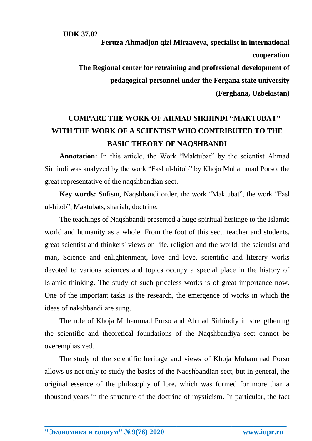**Feruza Ahmadjon qizi Mirzayeva, specialist in international cooperation The Regional center for retraining and professional development of pedagogical personnel under the Fergana state university (Ferghana, Uzbekistan)**

## **COMPARE THE WORK OF AHMAD SIRHINDI "MAKTUBAT" WITH THE WORK OF A SCIENTIST WHO CONTRIBUTED TO THE BASIC THEORY OF NAQSHBANDI**

**Annotation:** In this article, the Work "Maktubat" by the scientist Ahmad Sirhindi was analyzed by the work "Fasl ul-hitob" by Khoja Muhammad Porso, the great representative of the naqshbandian sect.

**Key words:** Sufism, Naqshbandi order, the work "Maktubat", the work "Fasl ul-hitob", Maktubats, shariah, doctrine.

The teachings of Naqshbandi presented a huge spiritual heritage to the Islamic world and humanity as a whole. From the foot of this sect, teacher and students, great scientist and thinkers' views on life, religion and the world, the scientist and man, Science and enlightenment, love and love, scientific and literary works devoted to various sciences and topics occupy a special place in the history of Islamic thinking. The study of such priceless works is of great importance now. One of the important tasks is the research, the emergence of works in which the ideas of nakshbandi are sung.

The role of Khoja Muhammad Porso and Ahmad Sirhindiy in strengthening the scientific and theoretical foundations of the Naqshbandiya sect cannot be overemphasized.

The study of the scientific heritage and views of Khoja Muhammad Porso allows us not only to study the basics of the Naqshbandian sect, but in general, the original essence of the philosophy of lore, which was formed for more than a thousand years in the structure of the doctrine of mysticism. In particular, the fact

**\_\_\_\_\_\_\_\_\_\_\_\_\_\_\_\_\_\_\_\_\_\_\_\_\_\_\_\_\_\_\_\_\_\_\_\_\_\_\_\_\_\_\_\_\_\_\_\_\_\_\_\_\_\_\_\_\_\_\_\_\_\_\_\_\_\_**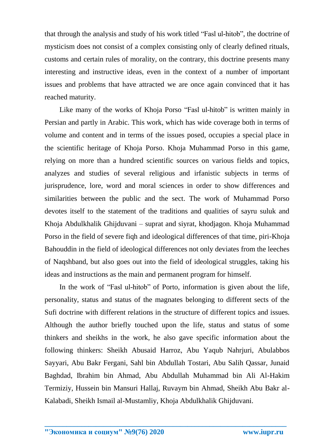that through the analysis and study of his work titled "Fasl ul-hitob", the doctrine of mysticism does not consist of a complex consisting only of clearly defined rituals, customs and certain rules of morality, on the contrary, this doctrine presents many interesting and instructive ideas, even in the context of a number of important issues and problems that have attracted we are once again convinced that it has reached maturity.

Like many of the works of Khoja Porso "Fasl ul-hitob" is written mainly in Persian and partly in Arabic. This work, which has wide coverage both in terms of volume and content and in terms of the issues posed, occupies a special place in the scientific heritage of Khoja Porso. Khoja Muhammad Porso in this game, relying on more than a hundred scientific sources on various fields and topics, analyzes and studies of several religious and irfanistic subjects in terms of jurisprudence, lore, word and moral sciences in order to show differences and similarities between the public and the sect. The work of Muhammad Porso devotes itself to the statement of the traditions and qualities of sayru suluk and Khoja Abdulkhalik Ghijduvani – suprat and siyrat, khodjagon. Khoja Muhammad Porso in the field of severe fiqh and ideological differences of that time, piri-Khoja Bahouddin in the field of ideological differences not only deviates from the leeches of Naqshband, but also goes out into the field of ideological struggles, taking his ideas and instructions as the main and permanent program for himself.

In the work of "Fasl ul-hitob" of Porto, information is given about the life, personality, status and status of the magnates belonging to different sects of the Sufi doctrine with different relations in the structure of different topics and issues. Although the author briefly touched upon the life, status and status of some thinkers and sheikhs in the work, he also gave specific information about the following thinkers: Sheikh Abusaid Harroz, Abu Yaqub Nahrjuri, Abulabbos Sayyari, Abu Bakr Fergani, Sahl bin Abdullah Tostari, Abu Salih Qassar, Junaid Baghdad, Ibrahim bin Ahmad, Abu Abdullah Muhammad bin Ali Al-Hakim Termiziy, Hussein bin Mansuri Hallaj, Ruvaym bin Ahmad, Sheikh Abu Bakr al-Kalabadi, Sheikh Ismail al-Mustamliy, Khoja Abdulkhalik Ghijduvani.

**\_\_\_\_\_\_\_\_\_\_\_\_\_\_\_\_\_\_\_\_\_\_\_\_\_\_\_\_\_\_\_\_\_\_\_\_\_\_\_\_\_\_\_\_\_\_\_\_\_\_\_\_\_\_\_\_\_\_\_\_\_\_\_\_\_\_**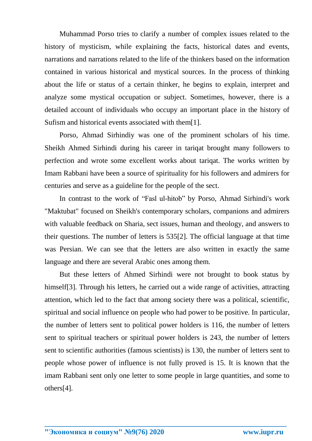Muhammad Porso tries to clarify a number of complex issues related to the history of mysticism, while explaining the facts, historical dates and events, narrations and narrations related to the life of the thinkers based on the information contained in various historical and mystical sources. In the process of thinking about the life or status of a certain thinker, he begins to explain, interpret and analyze some mystical occupation or subject. Sometimes, however, there is a detailed account of individuals who occupy an important place in the history of Sufism and historical events associated with them[1].

Porso, Ahmad Sirhindiy was one of the prominent scholars of his time. Sheikh Ahmed Sirhindi during his career in tariqat brought many followers to perfection and wrote some excellent works about tariqat. The works written by Imam Rabbani have been a source of spirituality for his followers and admirers for centuries and serve as a guideline for the people of the sect.

In contrast to the work of "Fasl ul-hitob" by Porso, Ahmad Sirhindi's work "Maktubat" focused on Sheikh's contemporary scholars, companions and admirers with valuable feedback on Sharia, sect issues, human and theology, and answers to their questions. The number of letters is 535[2]. The official language at that time was Persian. We can see that the letters are also written in exactly the same language and there are several Arabic ones among them.

But these letters of Ahmed Sirhindi were not brought to book status by himself<sup>[3]</sup>. Through his letters, he carried out a wide range of activities, attracting attention, which led to the fact that among society there was a political, scientific, spiritual and social influence on people who had power to be positive. In particular, the number of letters sent to political power holders is 116, the number of letters sent to spiritual teachers or spiritual power holders is 243, the number of letters sent to scientific authorities (famous scientists) is 130, the number of letters sent to people whose power of influence is not fully proved is 15. It is known that the imam Rabbani sent only one letter to some people in large quantities, and some to others[4].

**\_\_\_\_\_\_\_\_\_\_\_\_\_\_\_\_\_\_\_\_\_\_\_\_\_\_\_\_\_\_\_\_\_\_\_\_\_\_\_\_\_\_\_\_\_\_\_\_\_\_\_\_\_\_\_\_\_\_\_\_\_\_\_\_\_\_**